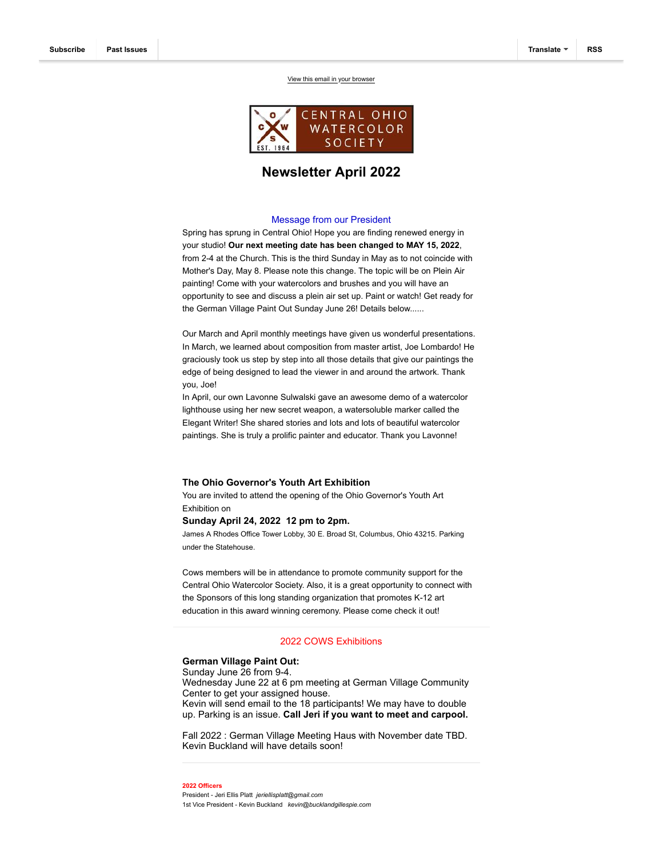[View this email in your browser](https://mailchi.mp/8860c059d657/jan-9-cows-meeting-cancelled-cows-newsletter-16059291?e=a1fd83646b)



# **Newsletter April 2022**

## Message from our President

Spring has sprung in Central Ohio! Hope you are finding renewed energy in your studio! **Our next meeting date has been changed to MAY 15, 2022**, from 2-4 at the Church. This is the third Sunday in May as to not coincide with Mother's Day, May 8. Please note this change. The topic will be on Plein Air painting! Come with your watercolors and brushes and you will have an opportunity to see and discuss a plein air set up. Paint or watch! Get ready for the German Village Paint Out Sunday June 26! Details below......

Our March and April monthly meetings have given us wonderful presentations. In March, we learned about composition from master artist, Joe Lombardo! He graciously took us step by step into all those details that give our paintings the edge of being designed to lead the viewer in and around the artwork. Thank you, Joe!

In April, our own Lavonne Sulwalski gave an awesome demo of a watercolor lighthouse using her new secret weapon, a watersoluble marker called the Elegant Writer! She shared stories and lots and lots of beautiful watercolor paintings. She is truly a prolific painter and educator. Thank you Lavonne!

#### **The Ohio Governor's Youth Art Exhibition**

You are invited to attend the opening of the Ohio Governor's Youth Art Exhibition on

# **Sunday April 24, 2022 12 pm to 2pm.**

James A Rhodes Office Tower Lobby, 30 E. Broad St, Columbus, Ohio 43215. Parking under the Statehouse.

Cows members will be in attendance to promote community support for the Central Ohio Watercolor Society. Also, it is a great opportunity to connect with the Sponsors of this long standing organization that promotes K-12 art education in this award winning ceremony. Please come check it out!

# 2022 COWS Exhibitions

# **German Village Paint Out:**

Sunday June 26 from 9-4. Wednesday June 22 at 6 pm meeting at German Village Community Center to get your assigned house. Kevin will send email to the 18 participants! We may have to double up. Parking is an issue. **Call Jeri if you want to meet and carpool.** 

Fall 2022 : German Village Meeting Haus with November date TBD. Kevin Buckland will have details soon!

#### **2022 Officers**

President - Jeri Ellis Platt *jeriellisplatt@gmail.com* 1st Vice President - Kevin Buckland *kevin@bucklandgillespie.com*